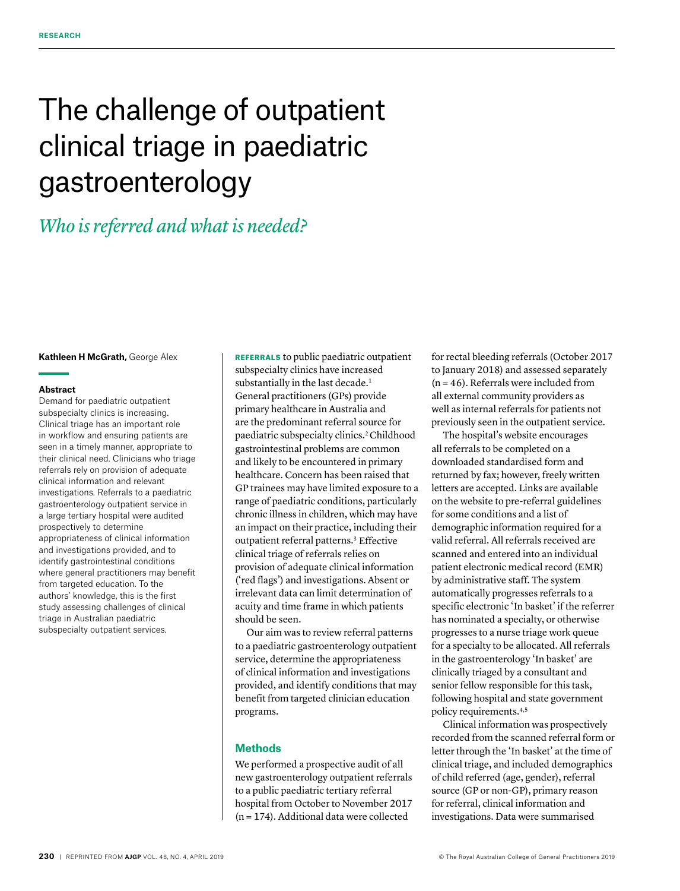# The challenge of outpatient clinical triage in paediatric gastroenterology

# *Who is referred and what is needed?*

#### **Kathleen H McGrath,** George Alex

### **Abstract**

Demand for paediatric outpatient subspecialty clinics is increasing. Clinical triage has an important role in workflow and ensuring patients are seen in a timely manner, appropriate to their clinical need. Clinicians who triage referrals rely on provision of adequate clinical information and relevant investigations. Referrals to a paediatric gastroenterology outpatient service in a large tertiary hospital were audited prospectively to determine appropriateness of clinical information and investigations provided, and to identify gastrointestinal conditions where general practitioners may benefit from targeted education. To the authors' knowledge, this is the first study assessing challenges of clinical triage in Australian paediatric subspecialty outpatient services.

REFERRALS to public paediatric outpatient subspecialty clinics have increased substantially in the last decade.<sup>1</sup> General practitioners (GPs) provide primary healthcare in Australia and are the predominant referral source for paediatric subspecialty clinics.2 Childhood gastrointestinal problems are common and likely to be encountered in primary healthcare. Concern has been raised that GP trainees may have limited exposure to a range of paediatric conditions, particularly chronic illness in children, which may have an impact on their practice, including their outpatient referral patterns.<sup>3</sup> Effective clinical triage of referrals relies on provision of adequate clinical information ('red flags') and investigations. Absent or irrelevant data can limit determination of acuity and time frame in which patients should be seen.

Our aim was to review referral patterns to a paediatric gastroenterology outpatient service, determine the appropriateness of clinical information and investigations provided, and identify conditions that may benefit from targeted clinician education programs.

# **Methods**

We performed a prospective audit of all new gastroenterology outpatient referrals to a public paediatric tertiary referral hospital from October to November 2017 (n = 174). Additional data were collected

for rectal bleeding referrals (October 2017 to January 2018) and assessed separately  $(n = 46)$ . Referrals were included from all external community providers as well as internal referrals for patients not previously seen in the outpatient service.

The hospital's website encourages all referrals to be completed on a downloaded standardised form and returned by fax; however, freely written letters are accepted. Links are available on the website to pre-referral guidelines for some conditions and a list of demographic information required for a valid referral. All referrals received are scanned and entered into an individual patient electronic medical record (EMR) by administrative staff. The system automatically progresses referrals to a specific electronic 'In basket' if the referrer has nominated a specialty, or otherwise progresses to a nurse triage work queue for a specialty to be allocated. All referrals in the gastroenterology 'In basket' are clinically triaged by a consultant and senior fellow responsible for this task, following hospital and state government policy requirements.4,5

Clinical information was prospectively recorded from the scanned referral form or letter through the 'In basket' at the time of clinical triage, and included demographics of child referred (age, gender), referral source (GP or non-GP), primary reason for referral, clinical information and investigations. Data were summarised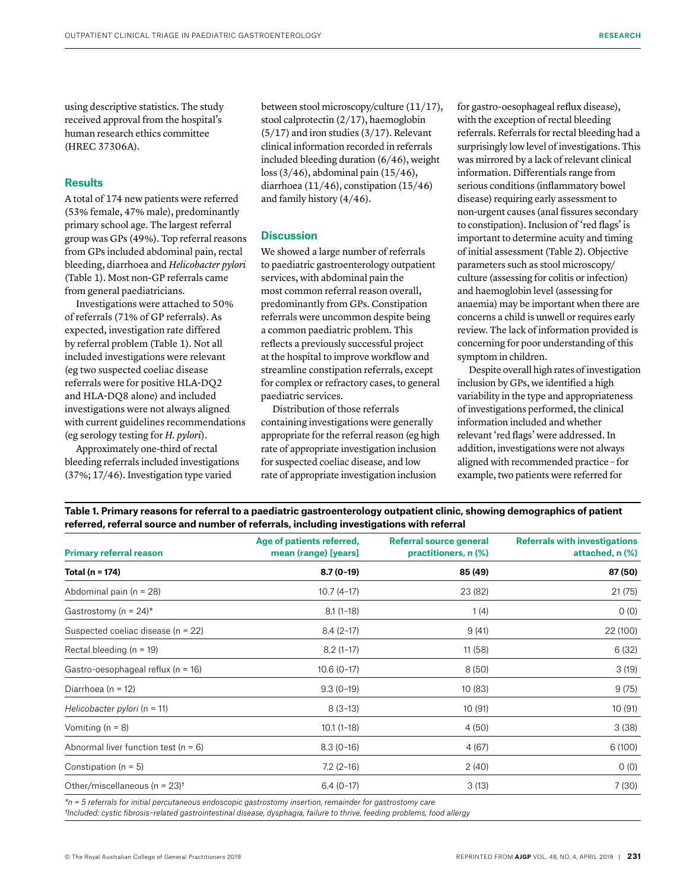using descriptive statistics. The study received approval from the hospital's human research ethics committee (HREC 37306A).

### **Results**

A total of 174 new patients were referred (53% female, 47% male), predominantly primary school age. The largest referral group was GPs (49%). Top referral reasons from GPs included abdominal pain, rectal bleeding, diarrhoea and *Helicobacter pylori* (Table 1). Most non-GP referrals came from general paediatricians.

Investigations were attached to 50% of referrals (71% of GP referrals). As expected, investigation rate differed by referral problem (Table 1). Not all included investigations were relevant (eg two suspected coeliac disease referrals were for positive HLA-DQ2 and HLA-DQ8 alone) and included investigations were not always aligned with current guidelines recommendations (eg serology testing for *H. pylori*).

Approximately one-third of rectal bleeding referrals included investigations (37%; 17/46). Investigation type varied

between stool microscopy/culture (11/17), stool calprotectin (2/17), haemoglobin (5/17) and iron studies (3/17). Relevant clinical information recorded in referrals included bleeding duration (6/46), weight loss (3/46), abdominal pain (15/46), diarrhoea (11/46), constipation (15/46) and family history (4/46).

# **Discussion**

We showed a large number of referrals to paediatric gastroenterology outpatient services, with abdominal pain the most common referral reason overall, predominantly from GPs. Constipation referrals were uncommon despite being a common paediatric problem. This reflects a previously successful project at the hospital to improve workflow and streamline constipation referrals, except for complex or refractory cases, to general paediatric services.

Distribution of those referrals containing investigations were generally appropriate for the referral reason (eg high rate of appropriate investigation inclusion for suspected coeliac disease, and low rate of appropriate investigation inclusion

for gastro-oesophageal reflux disease), with the exception of rectal bleeding referrals. Referrals for rectal bleeding had a surprisingly low level of investigations. This was mirrored by a lack of relevant clinical information. Differentials range from serious conditions (inflammatory bowel disease) requiring early assessment to non-urgent causes (anal fissures secondary to constipation). Inclusion of 'red flags' is important to determine acuity and timing of initial assessment (Table 2). Objective parameters such as stool microscopy/ culture (assessing for colitis or infection) and haemoglobin level (assessing for anaemia) may be important when there are concerns a child is unwell or requires early review. The lack of information provided is concerning for poor understanding of this symptom in children.

Despite overall high rates of investigation inclusion by GPs, we identified a high variability in the type and appropriateness of investigations performed, the clinical information included and whether relevant 'red flags' were addressed. In addition, investigations were not always aligned with recommended practice – for example, two patients were referred for

**Table 1. Primary reasons for referral to a paediatric gastroenterology outpatient clinic, showing demographics of patient referred, referral source and number of referrals, including investigations with referral**

| <b>Primary referral reason</b>               | Age of patients referred,<br>mean (range) [years] | Referral source general<br>practitioners, n (%) | <b>Referrals with investigations</b><br>attached, n (%) |
|----------------------------------------------|---------------------------------------------------|-------------------------------------------------|---------------------------------------------------------|
| Total (n = 174)                              | $8.7(0-19)$                                       | 85 (49)                                         | 87 (50)                                                 |
| Abdominal pain ( $n = 28$ )                  | $10.7(4-17)$                                      | 23 (82)                                         | 21 (75)                                                 |
| Gastrostomy (n = $24$ )*                     | $8.1(1-18)$                                       | 1(4)                                            | 0(0)                                                    |
| Suspected coeliac disease (n = 22)           | $8.4(2-17)$                                       | 9(41)                                           | 22 (100)                                                |
| Rectal bleeding ( $n = 19$ )                 | $8.2(1-17)$                                       | 11 (58)                                         | 6(32)                                                   |
| Gastro-oesophageal reflux ( $n = 16$ )       | $10.6(0-17)$                                      | 8(50)                                           | 3(19)                                                   |
| Diarrhoea ( $n = 12$ )                       | $9.3(0-19)$                                       | 10(83)                                          | 9(75)                                                   |
| Helicobacter pylori ( $n = 11$ )             | $8(3-13)$                                         | 10(91)                                          | 10 (91)                                                 |
| Vomiting $(n = 8)$                           | $10.1(1-18)$                                      | 4(50)                                           | 3(38)                                                   |
| Abnormal liver function test ( $n = 6$ )     | $8.3(0-16)$                                       | 4 (67)                                          | 6(100)                                                  |
| Constipation ( $n = 5$ )                     | $7.2(2-16)$                                       | 2(40)                                           | 0(0)                                                    |
| Other/miscellaneous (n = $23$ ) <sup>t</sup> | $6.4(0-17)$                                       | 3(13)                                           | 7(30)                                                   |

*\*n = 5 referrals for initial percutaneous endoscopic gastrostomy insertion, remainder for gastrostomy care †Included: cystic fibrosis–related gastrointestinal disease, dysphagia, failure to thrive, feeding problems, food allergy*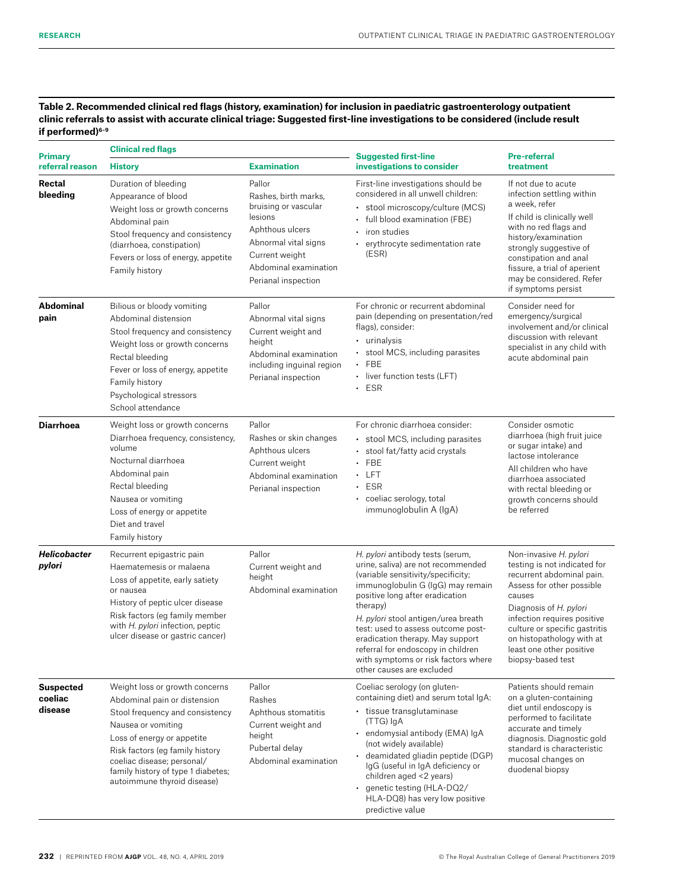**Table 2. Recommended clinical red flags (history, examination) for inclusion in paediatric gastroenterology outpatient clinic referrals to assist with accurate clinical triage: Suggested first-line investigations to be considered (include result if performed)6–9**

| <b>Primary</b>                         | <b>Clinical red flags</b>                                                                                                                                                                                                                                                                   |                                                                                                                                                                                | <b>Suggested first-line</b>                                                                                                                                                                                                                                                                                                                                                                                                 | <b>Pre-referral</b>                                                                                                                                                                                                                                                                                |
|----------------------------------------|---------------------------------------------------------------------------------------------------------------------------------------------------------------------------------------------------------------------------------------------------------------------------------------------|--------------------------------------------------------------------------------------------------------------------------------------------------------------------------------|-----------------------------------------------------------------------------------------------------------------------------------------------------------------------------------------------------------------------------------------------------------------------------------------------------------------------------------------------------------------------------------------------------------------------------|----------------------------------------------------------------------------------------------------------------------------------------------------------------------------------------------------------------------------------------------------------------------------------------------------|
| referral reason                        | <b>History</b>                                                                                                                                                                                                                                                                              | <b>Examination</b>                                                                                                                                                             | investigations to consider                                                                                                                                                                                                                                                                                                                                                                                                  | treatment                                                                                                                                                                                                                                                                                          |
| <b>Rectal</b><br>bleeding              | Duration of bleeding<br>Appearance of blood<br>Weight loss or growth concerns<br>Abdominal pain<br>Stool frequency and consistency<br>(diarrhoea, constipation)<br>Fevers or loss of energy, appetite<br>Family history                                                                     | Pallor<br>Rashes, birth marks,<br>bruising or vascular<br>lesions<br>Aphthous ulcers<br>Abnormal vital signs<br>Current weight<br>Abdominal examination<br>Perianal inspection | First-line investigations should be<br>considered in all unwell children:<br>stool microscopy/culture (MCS)<br>full blood examination (FBE)<br>iron studies<br>erythrocyte sedimentation rate<br>(ESR)                                                                                                                                                                                                                      | If not due to acute<br>infection settling within<br>a week, refer<br>If child is clinically well<br>with no red flags and<br>history/examination<br>strongly suggestive of<br>constipation and anal<br>fissure, a trial of aperient<br>may be considered. Refer<br>if symptoms persist             |
| <b>Abdominal</b><br>pain               | Bilious or bloody vomiting<br>Abdominal distension<br>Stool frequency and consistency<br>Weight loss or growth concerns<br>Rectal bleeding<br>Fever or loss of energy, appetite<br>Family history<br>Psychological stressors<br>School attendance                                           | Pallor<br>Abnormal vital signs<br>Current weight and<br>height<br>Abdominal examination<br>including inguinal region<br>Perianal inspection                                    | For chronic or recurrent abdominal<br>pain (depending on presentation/red<br>flags), consider:<br>• urinalysis<br>stool MCS, including parasites<br><b>FBE</b><br>liver function tests (LFT)<br>$\bullet$<br><b>ESR</b><br>$\bullet$                                                                                                                                                                                        | Consider need for<br>emergency/surgical<br>involvement and/or clinical<br>discussion with relevant<br>specialist in any child with<br>acute abdominal pain                                                                                                                                         |
| <b>Diarrhoea</b>                       | Weight loss or growth concerns<br>Diarrhoea frequency, consistency,<br>volume<br>Nocturnal diarrhoea<br>Abdominal pain<br>Rectal bleeding<br>Nausea or vomiting<br>Loss of energy or appetite<br>Diet and travel<br>Family history                                                          | Pallor<br>Rashes or skin changes<br>Aphthous ulcers<br>Current weight<br>Abdominal examination<br>Perianal inspection                                                          | For chronic diarrhoea consider:<br>stool MCS, including parasites<br>stool fat/fatty acid crystals<br>FBE<br><b>LFT</b><br>٠<br><b>ESR</b><br>٠<br>coeliac serology, total<br>$\bullet$<br>immunoglobulin A (IgA)                                                                                                                                                                                                           | Consider osmotic<br>diarrhoea (high fruit juice<br>or sugar intake) and<br>lactose intolerance<br>All children who have<br>diarrhoea associated<br>with rectal bleeding or<br>growth concerns should<br>be referred                                                                                |
| <b>Helicobacter</b><br>pylori          | Recurrent epigastric pain<br>Haematemesis or malaena<br>Loss of appetite, early satiety<br>or nausea<br>History of peptic ulcer disease<br>Risk factors (eq family member<br>with H. pylori infection, peptic<br>ulcer disease or gastric cancer)                                           | Pallor<br>Current weight and<br>height<br>Abdominal examination                                                                                                                | H. pylori antibody tests (serum,<br>urine, saliva) are not recommended<br>(variable sensitivity/specificity;<br>immunoglobulin G (IgG) may remain<br>positive long after eradication<br>therapy)<br>H. pylori stool antigen/urea breath<br>test: used to assess outcome post-<br>eradication therapy. May support<br>referral for endoscopy in children<br>with symptoms or risk factors where<br>other causes are excluded | Non-invasive H. pylori<br>testing is not indicated for<br>recurrent abdominal pain.<br>Assess for other possible<br>causes<br>Diagnosis of H. pylori<br>infection requires positive<br>culture or specific gastritis<br>on histopathology with at<br>least one other positive<br>biopsy-based test |
| <b>Suspected</b><br>coeliac<br>disease | Weight loss or growth concerns<br>Abdominal pain or distension<br>Stool frequency and consistency<br>Nausea or vomiting<br>Loss of energy or appetite<br>Risk factors (eq family history<br>coeliac disease; personal/<br>family history of type 1 diabetes;<br>autoimmune thyroid disease) | Pallor<br>Rashes<br>Aphthous stomatitis<br>Current weight and<br>height<br>Pubertal delay<br>Abdominal examination                                                             | Coeliac serology (on gluten-<br>containing diet) and serum total IgA:<br>• tissue transglutaminase<br>(TTG) IgA<br>· endomysial antibody (EMA) IgA<br>(not widely available)<br>deamidated gliadin peptide (DGP)<br>IgG (useful in IgA deficiency or<br>children aged <2 years)<br>genetic testing (HLA-DQ2/<br>HLA-DQ8) has very low positive<br>predictive value                                                          | Patients should remain<br>on a gluten-containing<br>diet until endoscopy is<br>performed to facilitate<br>accurate and timely<br>diagnosis. Diagnostic gold<br>standard is characteristic<br>mucosal changes on<br>duodenal biopsy                                                                 |